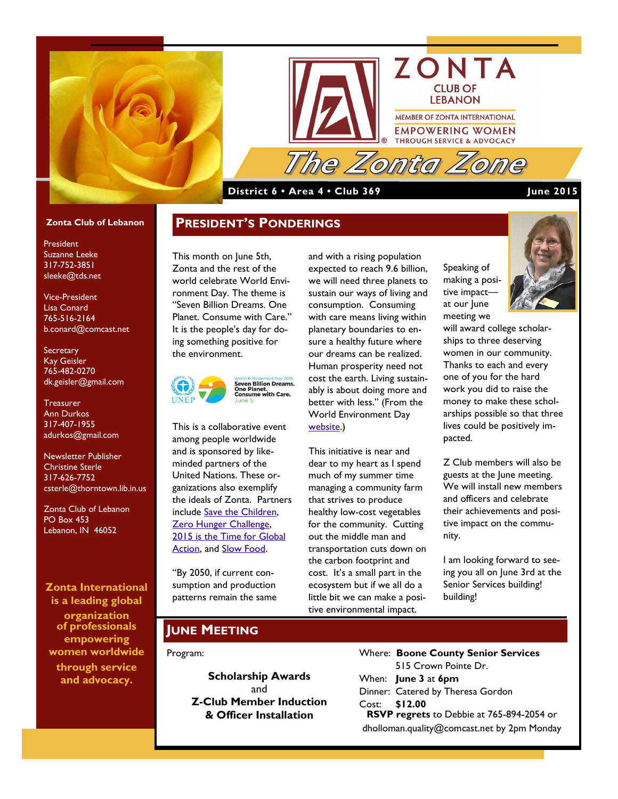



### **District 6 • Area 4 • Club 369 June 2015**

#### **Zonta Club of Lebanon**

President Suzanne Leeke 317-752-3851 sleeke@tds.net

Vice-President Lisa Conard 765-516-2164 b.conard@comcast.net

**Secretary** Kay Geisler 765-482-0270 dk.geisler@gmail.com

**Treasurer** Ann Durkos 317-407-1955 adurkos@gmail.com

Newsletter Publisher Christine Sterle 317-626-7752 csterle@thorntown.lib.in.us

Zonta Club of Lebanon PO Box 453 Lebanon, IN 46052

#### **Zonta International is a leading global**

**organization of professionals empowering women worldwide through service and advocacy.**

This month on June 5th, Zonta and the rest of the world celebrate World Environment Day. The theme is "Seven Billion Dreams. One Planet. Consume with Care." It is the people's day for doing something positive for the environment.

**PRESIDENT'S PONDERINGS**



This is a collaborative event among people worldwide and is sponsored by likeminded partners of the United Nations. These organizations also exemplify the ideals of Zonta. Partners include [Save the Children,](http://www.unep.org/wed/partners/Save-the-Children.asp) [Zero Hunger Challenge,](http://www.un.org/en/zerohunger/#&panel1-1) 2015 is the Time for Global [Action,](http://www.unep.org/wed/partners/2015-Time-for-Global-Action.asp) and [Slow Food.](http://www.slowfood.com/)

"By 2050, if current consumption and production patterns remain the same and with a rising population expected to reach 9.6 billion, we will need three planets to sustain our ways of living and consumption. Consuming with care means living within planetary boundaries to ensure a healthy future where our dreams can be realized. Human prosperity need not cost the earth. Living sustainably is about doing more and better with less." (From the World Environment Day [website.](http://www.unep.org/wed/about.asp))

This initiative is near and dear to my heart as I spend much of my summer time managing a community farm that strives to produce healthy low-cost vegetables for the community. Cutting out the middle man and transportation cuts down on the carbon footprint and cost. It's a small part in the ecosystem but if we all do a little bit we can make a positive environmental impact.

Speaking of making a positive impact at our June meeting we



will award college scholarships to three deserving women in our community. Thanks to each and every one of you for the hard work you did to raise the money to make these scholarships possible so that three lives could be positively impacted.

Z Club members will also be guests at the June meeting. We will install new members and officers and celebrate their achievements and positive impact on the community.

I am looking forward to seeing you all on June 3rd at the Senior Services building! building!

# **JUNE MEETING**

#### Program:

**Scholarship Awards** and **Z-Club Member Induction & Officer Installation**

Where: **Boone County Senior Services** 515 Crown Pointe Dr. When: **June 3** at **6pm** Dinner: Catered by Theresa Gordon Cost: **\$12.00 RSVP regrets** to Debbie at 765-894-2054 or dholloman.quality@comcast.net by 2pm Monday